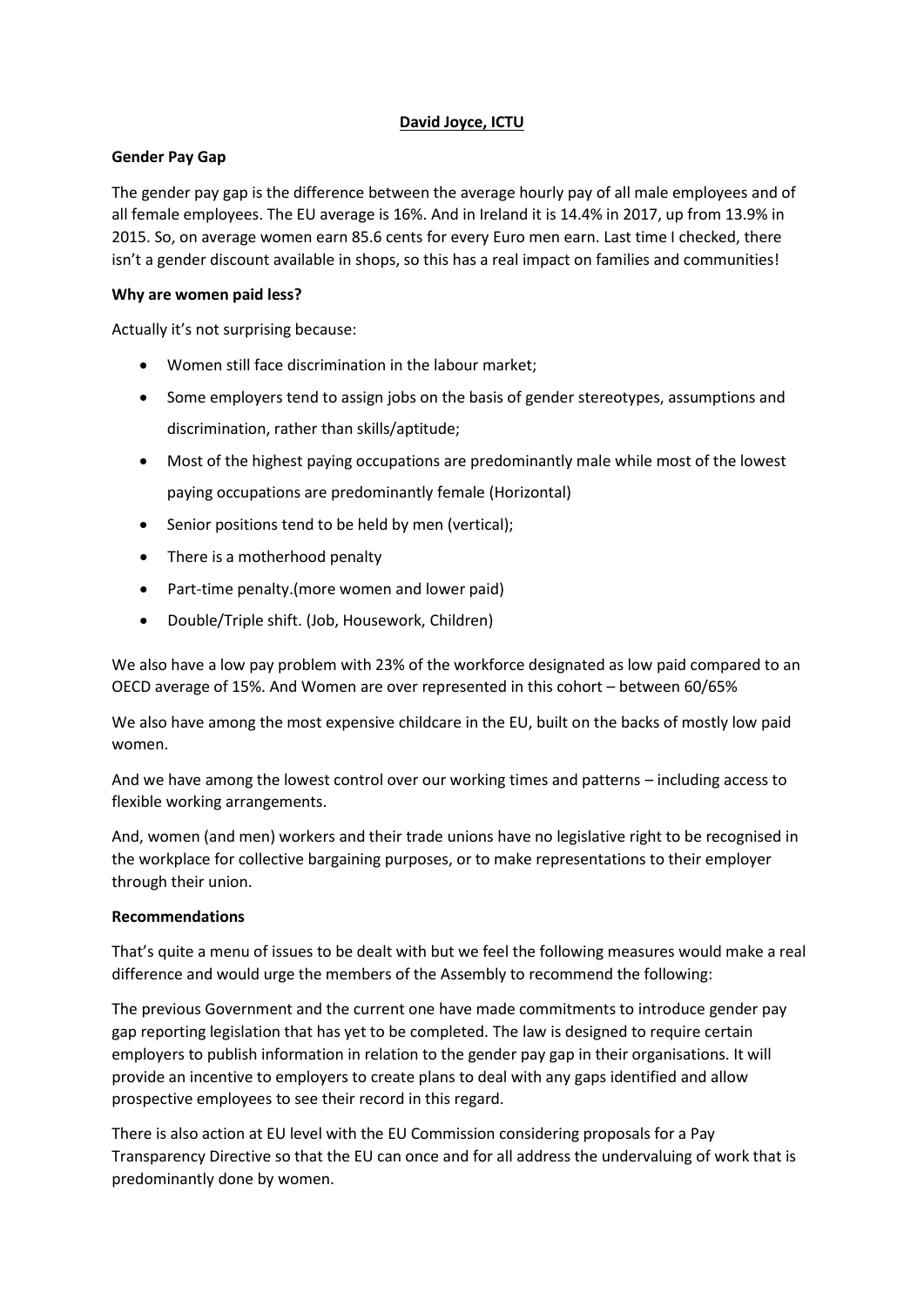### **David Joyce, ICTU**

#### **Gender Pay Gap**

The gender pay gap is the difference between the average hourly pay of all male employees and of all female employees. The EU average is 16%. And in Ireland it is 14.4% in 2017, up from 13.9% in 2015. So, on average women earn 85.6 cents for every Euro men earn. Last time I checked, there isn't a gender discount available in shops, so this has a real impact on families and communities!

### **Why are women paid less?**

Actually it's not surprising because:

- Women still face discrimination in the labour market;
- Some employers tend to assign jobs on the basis of gender stereotypes, assumptions and discrimination, rather than skills/aptitude;
- Most of the highest paying occupations are predominantly male while most of the lowest paying occupations are predominantly female (Horizontal)
- Senior positions tend to be held by men (vertical);
- There is a motherhood penalty
- Part-time penalty.(more women and lower paid)
- Double/Triple shift. (Job, Housework, Children)

We also have a low pay problem with 23% of the workforce designated as low paid compared to an OECD average of 15%. And Women are over represented in this cohort – between 60/65%

We also have among the most expensive childcare in the EU, built on the backs of mostly low paid women.

And we have among the lowest control over our working times and patterns – including access to flexible working arrangements.

And, women (and men) workers and their trade unions have no legislative right to be recognised in the workplace for collective bargaining purposes, or to make representations to their employer through their union.

## **Recommendations**

That's quite a menu of issues to be dealt with but we feel the following measures would make a real difference and would urge the members of the Assembly to recommend the following:

The previous Government and the current one have made commitments to introduce gender pay gap reporting legislation that has yet to be completed. The law is designed to require certain employers to publish information in relation to the gender pay gap in their organisations. It will provide an incentive to employers to create plans to deal with any gaps identified and allow prospective employees to see their record in this regard.

There is also action at EU level with the EU Commission considering proposals for a Pay Transparency Directive so that the EU can once and for all address the undervaluing of work that is predominantly done by women.